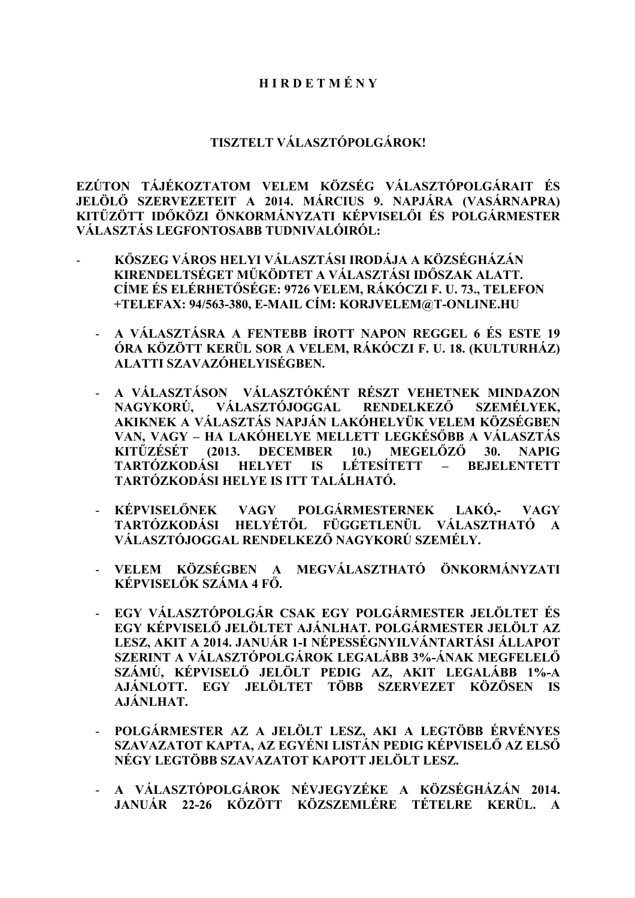## **H I R D E T M É N Y**

## **TISZTELT VÁLASZTÓPOLGÁROK!**

**EZÚTON TÁJÉKOZTATOM VELEM KÖZSÉG VÁLASZTÓPOLGÁRAIT ÉS JELÖLŐ SZERVEZETEIT A 2014. MÁRCIUS 9. NAPJÁRA (VASÁRNAPRA) KITŰZÖTT IDŐKÖZI ÖNKORMÁNYZATI KÉPVISELŐI ÉS POLGÁRMESTER VÁLASZTÁS LEGFONTOSABB TUDNIVALÓIRÓL:**

- **KŐSZEG VÁROS HELYI VÁLASZTÁSI IRODÁJA A KÖZSÉGHÁZÁN KIRENDELTSÉGET MŰKÖDTET A VÁLASZTÁSI IDŐSZAK ALATT. CÍME ÉS ELÉRHETŐSÉGE: 9726 VELEM, RÁKÓCZI F. U. 73., TELEFON +TELEFAX: 94/563-380, E-MAIL CÍM: KORJVELEM@T-ONLINE.HU**
	- **A VÁLASZTÁSRA A FENTEBB ÍROTT NAPON REGGEL 6 ÉS ESTE 19 ÓRA KÖZÖTT KERÜL SOR A VELEM, RÁKÓCZI F. U. 18. (KULTURHÁZ) ALATTI SZAVAZÓHELYISÉGBEN.**
	- **A VÁLASZTÁSON VÁLASZTÓKÉNT RÉSZT VEHETNEK MINDAZON NAGYKORÚ, VÁLASZTÓJOGGAL RENDELKEZŐ SZEMÉLYEK, AKIKNEK A VÁLASZTÁS NAPJÁN LAKÓHELYÜK VELEM KÖZSÉGBEN VAN, VAGY – HA LAKÓHELYE MELLETT LEGKÉSŐBB A VÁLASZTÁS KITŰZÉSÉT (2013. DECEMBER 10.) MEGELŐZŐ 30. NAPIG TARTÓZKODÁSI HELYET IS LÉTESÍTETT – BEJELENTETT TARTÓZKODÁSI HELYE IS ITT TALÁLHATÓ.**
	- **KÉPVISELŐNEK VAGY POLGÁRMESTERNEK LAKÓ,- VAGY TARTÓZKODÁSI HELYÉTŐL FÜGGETLENÜL VÁLASZTHATÓ A VÁLASZTÓJOGGAL RENDELKEZŐ NAGYKORÚ SZEMÉLY.**
	- **VELEM KÖZSÉGBEN A MEGVÁLASZTHATÓ ÖNKORMÁNYZATI KÉPVISELŐK SZÁMA 4 FŐ.**
	- **EGY VÁLASZTÓPOLGÁR CSAK EGY POLGÁRMESTER JELÖLTET ÉS EGY KÉPVISELŐ JELÖLTET AJÁNLHAT. POLGÁRMESTER JELÖLT AZ LESZ, AKIT A 2014. JANUÁR 1-I NÉPESSÉGNYILVÁNTARTÁSI ÁLLAPOT SZERINT A VÁLASZTÓPOLGÁROK LEGALÁBB 3%-ÁNAK MEGFELELŐ SZÁMÚ, KÉPVISELŐ JELÖLT PEDIG AZ, AKIT LEGALÁBB 1%-A AJÁNLOTT. EGY JELÖLTET TÖBB SZERVEZET KÖZÖSEN IS AJÁNLHAT.**
	- **POLGÁRMESTER AZ A JELÖLT LESZ, AKI A LEGTÖBB ÉRVÉNYES SZAVAZATOT KAPTA, AZ EGYÉNI LISTÁN PEDIG KÉPVISELŐ AZ ELSŐ NÉGY LEGTÖBB SZAVAZATOT KAPOTT JELÖLT LESZ.**
	- **A VÁLASZTÓPOLGÁROK NÉVJEGYZÉKE A KÖZSÉGHÁZÁN 2014. JANUÁR 22-26 KÖZÖTT KÖZSZEMLÉRE TÉTELRE KERÜL. A**